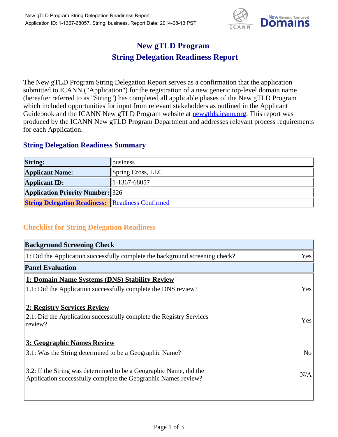

## **New gTLD Program String Delegation Readiness Report**

The New gTLD Program String Delegation Report serves as a confirmation that the application submitted to ICANN ("Application") for the registration of a new generic top-level domain name (hereafter referred to as "String") has completed all applicable phases of the New gTLD Program which included opportunities for input from relevant stakeholders as outlined in the Applicant Guidebook and the ICANN New gTLD Program website at **newgtlds.icann.org**. This report was produced by the ICANN New gTLD Program Department and addresses relevant process requirements for each Application.

## **String Delegation Readiness Summary**

| <b>String:</b>                                          | <b>Ibusiness</b>          |
|---------------------------------------------------------|---------------------------|
| <b>Applicant Name:</b>                                  | $\beta$ Spring Cross, LLC |
| <b>Applicant ID:</b>                                    | 1-1367-68057              |
| <b>Application Priority Number:</b> 326                 |                           |
| <b>String Delegation Readiness:</b> Readiness Confirmed |                           |

## **Checklist for String Delegation Readiness**

| <b>Background Screening Check</b>                                               |                |  |
|---------------------------------------------------------------------------------|----------------|--|
| 1: Did the Application successfully complete the background screening check?    | Yes            |  |
| <b>Panel Evaluation</b>                                                         |                |  |
| 1: Domain Name Systems (DNS) Stability Review                                   |                |  |
| 1.1: Did the Application successfully complete the DNS review?                  | Yes            |  |
| 2: Registry Services Review                                                     |                |  |
|                                                                                 |                |  |
| 2.1: Did the Application successfully complete the Registry Services<br>review? | <b>Yes</b>     |  |
|                                                                                 |                |  |
| 3: Geographic Names Review                                                      |                |  |
| 3.1: Was the String determined to be a Geographic Name?                         | N <sub>0</sub> |  |
| 3.2: If the String was determined to be a Geographic Name, did the              |                |  |
| Application successfully complete the Geographic Names review?                  | N/A            |  |
|                                                                                 |                |  |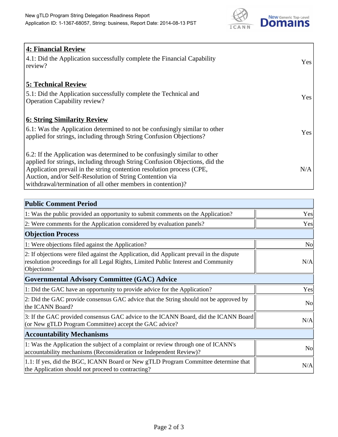

| <b>4: Financial Review</b><br>4.1: Did the Application successfully complete the Financial Capability<br>review?                                                                                                                                                                                                                                             | Yes |
|--------------------------------------------------------------------------------------------------------------------------------------------------------------------------------------------------------------------------------------------------------------------------------------------------------------------------------------------------------------|-----|
| <b>5: Technical Review</b><br>5.1: Did the Application successfully complete the Technical and<br><b>Operation Capability review?</b>                                                                                                                                                                                                                        | Yes |
| <u><b>6: String Similarity Review</b></u><br>6.1: Was the Application determined to not be confusingly similar to other<br>applied for strings, including through String Confusion Objections?                                                                                                                                                               | Yes |
| 6.2: If the Application was determined to be confusingly similar to other<br>applied for strings, including through String Confusion Objections, did the<br>Application prevail in the string contention resolution process (CPE,<br>Auction, and/or Self-Resolution of String Contention via<br>withdrawal/termination of all other members in contention)? | N/A |

| <b>Public Comment Period</b>                                                                                                                                                                   |           |
|------------------------------------------------------------------------------------------------------------------------------------------------------------------------------------------------|-----------|
| 1: Was the public provided an opportunity to submit comments on the Application?                                                                                                               | Yes       |
| 2: Were comments for the Application considered by evaluation panels?                                                                                                                          | Yes       |
| <b>Objection Process</b>                                                                                                                                                                       |           |
| 1: Were objections filed against the Application?                                                                                                                                              | <b>No</b> |
| 2: If objections were filed against the Application, did Applicant prevail in the dispute<br>resolution proceedings for all Legal Rights, Limited Public Interest and Community<br>Objections? | N/A       |
| Governmental Advisory Committee (GAC) Advice                                                                                                                                                   |           |
| 1: Did the GAC have an opportunity to provide advice for the Application?                                                                                                                      | Yes       |
| 2: Did the GAC provide consensus GAC advice that the String should not be approved by<br>the ICANN Board?                                                                                      | <b>No</b> |
| 3: If the GAC provided consensus GAC advice to the ICANN Board, did the ICANN Board<br>(or New gTLD Program Committee) accept the GAC advice?                                                  | N/A       |
| <b>Accountability Mechanisms</b>                                                                                                                                                               |           |
| 1: Was the Application the subject of a complaint or review through one of ICANN's<br>accountability mechanisms (Reconsideration or Independent Review)?                                       | <b>No</b> |
| 1.1: If yes, did the BGC, ICANN Board or New gTLD Program Committee determine that<br>the Application should not proceed to contracting?                                                       | N/A       |